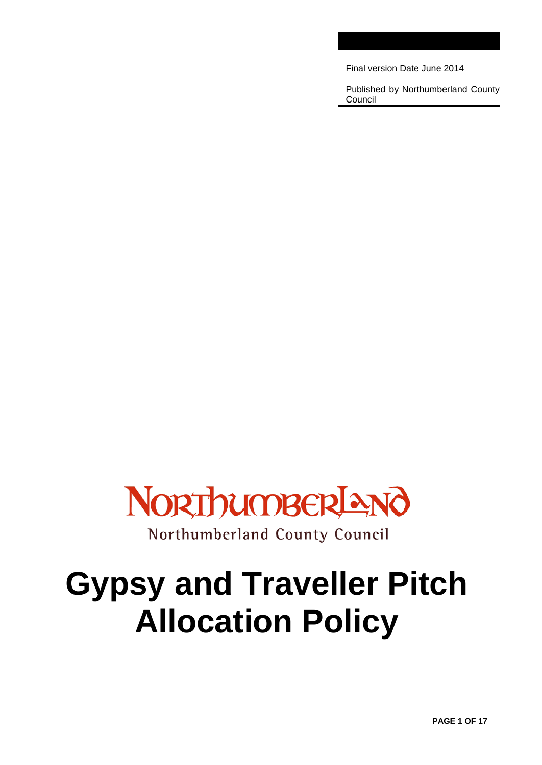Final version Date June 2014

Published by Northumberland County Council



# **Gypsy and Traveller Pitch Allocation Policy**

**PAGE 1 OF 17**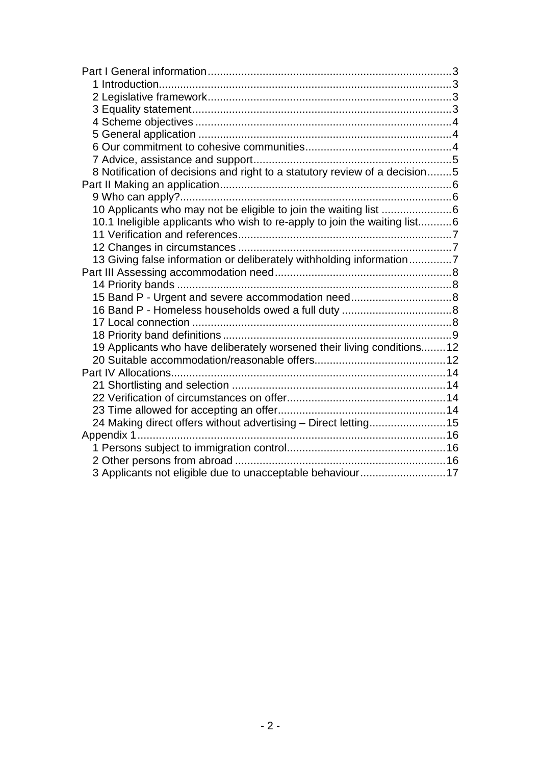| 8 Notification of decisions and right to a statutory review of a decision5 |  |
|----------------------------------------------------------------------------|--|
|                                                                            |  |
|                                                                            |  |
|                                                                            |  |
| 10.1 Ineligible applicants who wish to re-apply to join the waiting list6  |  |
|                                                                            |  |
|                                                                            |  |
| 13 Giving false information or deliberately withholding information7       |  |
|                                                                            |  |
|                                                                            |  |
| 15 Band P - Urgent and severe accommodation need8                          |  |
|                                                                            |  |
|                                                                            |  |
|                                                                            |  |
| 19 Applicants who have deliberately worsened their living conditions 12    |  |
|                                                                            |  |
|                                                                            |  |
|                                                                            |  |
|                                                                            |  |
|                                                                            |  |
| 24 Making direct offers without advertising - Direct letting 15            |  |
|                                                                            |  |
|                                                                            |  |
|                                                                            |  |
| 3 Applicants not eligible due to unacceptable behaviour 17                 |  |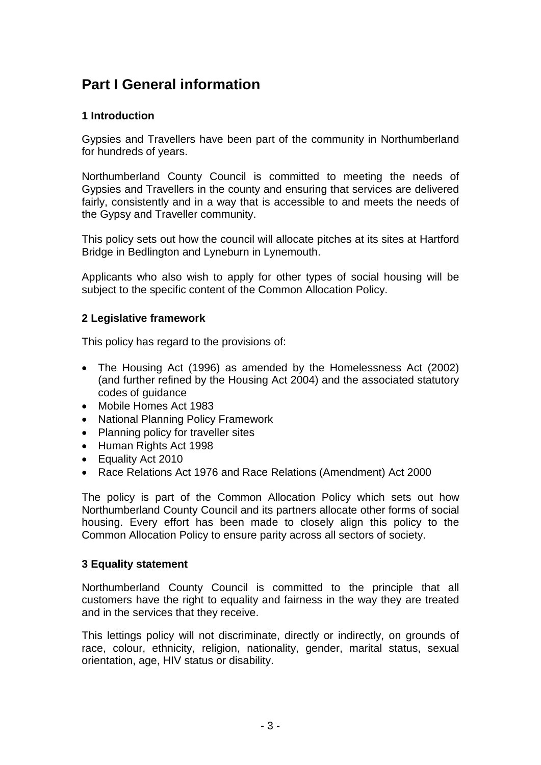# <span id="page-2-0"></span>**Part I General information**

# <span id="page-2-1"></span>**1 Introduction**

Gypsies and Travellers have been part of the community in Northumberland for hundreds of years.

Northumberland County Council is committed to meeting the needs of Gypsies and Travellers in the county and ensuring that services are delivered fairly, consistently and in a way that is accessible to and meets the needs of the Gypsy and Traveller community.

This policy sets out how the council will allocate pitches at its sites at Hartford Bridge in Bedlington and Lyneburn in Lynemouth.

Applicants who also wish to apply for other types of social housing will be subject to the specific content of the Common Allocation Policy.

#### <span id="page-2-2"></span>**2 Legislative framework**

This policy has regard to the provisions of:

- The Housing Act (1996) as amended by the Homelessness Act (2002) (and further refined by the Housing Act 2004) and the associated statutory codes of guidance
- Mobile Homes Act 1983
- National Planning Policy Framework
- Planning policy for traveller sites
- Human Rights Act 1998
- Equality Act 2010
- Race Relations Act 1976 and Race Relations (Amendment) Act 2000

The policy is part of the Common Allocation Policy which sets out how Northumberland County Council and its partners allocate other forms of social housing. Every effort has been made to closely align this policy to the Common Allocation Policy to ensure parity across all sectors of society.

#### <span id="page-2-3"></span>**3 Equality statement**

Northumberland County Council is committed to the principle that all customers have the right to equality and fairness in the way they are treated and in the services that they receive.

This lettings policy will not discriminate, directly or indirectly, on grounds of race, colour, ethnicity, religion, nationality, gender, marital status, sexual orientation, age, HIV status or disability.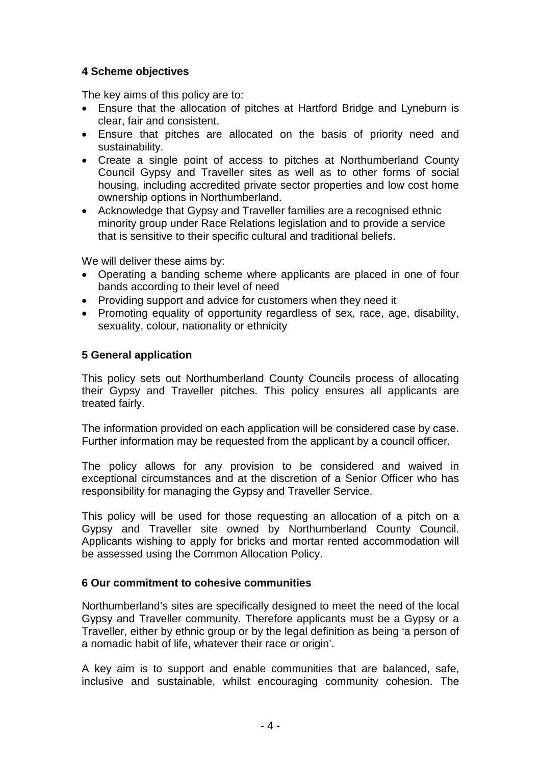# <span id="page-3-0"></span>**4 Scheme objectives**

The key aims of this policy are to:

- Ensure that the allocation of pitches at Hartford Bridge and Lyneburn is clear, fair and consistent.
- Ensure that pitches are allocated on the basis of priority need and sustainability.
- Create a single point of access to pitches at Northumberland County Council Gypsy and Traveller sites as well as to other forms of social housing, including accredited private sector properties and low cost home ownership options in Northumberland.
- Acknowledge that Gypsy and Traveller families are a recognised ethnic minority group under Race Relations legislation and to provide a service that is sensitive to their specific cultural and traditional beliefs.

We will deliver these aims by:

- Operating a banding scheme where applicants are placed in one of four bands according to their level of need
- Providing support and advice for customers when they need it
- Promoting equality of opportunity regardless of sex, race, age, disability, sexuality, colour, nationality or ethnicity

# <span id="page-3-1"></span>**5 General application**

This policy sets out Northumberland County Councils process of allocating their Gypsy and Traveller pitches. This policy ensures all applicants are treated fairly.

The information provided on each application will be considered case by case. Further information may be requested from the applicant by a council officer.

The policy allows for any provision to be considered and waived in exceptional circumstances and at the discretion of a Senior Officer who has responsibility for managing the Gypsy and Traveller Service.

This policy will be used for those requesting an allocation of a pitch on a Gypsy and Traveller site owned by Northumberland County Council. Applicants wishing to apply for bricks and mortar rented accommodation will be assessed using the Common Allocation Policy.

#### <span id="page-3-2"></span>**6 Our commitment to cohesive communities**

Northumberland's sites are specifically designed to meet the need of the local Gypsy and Traveller community. Therefore applicants must be a Gypsy or a Traveller, either by ethnic group or by the legal definition as being 'a person of a nomadic habit of life, whatever their race or origin'.

A key aim is to support and enable communities that are balanced, safe, inclusive and sustainable, whilst encouraging community cohesion. The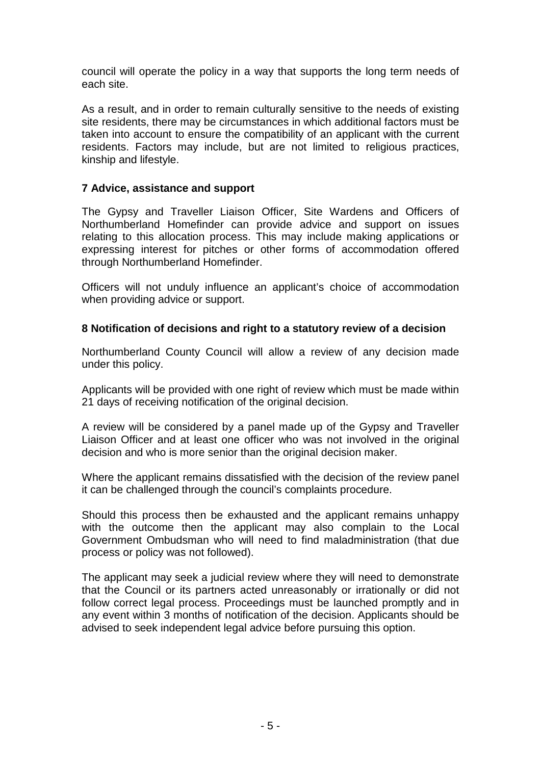council will operate the policy in a way that supports the long term needs of each site.

As a result, and in order to remain culturally sensitive to the needs of existing site residents, there may be circumstances in which additional factors must be taken into account to ensure the compatibility of an applicant with the current residents. Factors may include, but are not limited to religious practices, kinship and lifestyle.

#### <span id="page-4-0"></span>**7 Advice, assistance and support**

The Gypsy and Traveller Liaison Officer, Site Wardens and Officers of Northumberland Homefinder can provide advice and support on issues relating to this allocation process. This may include making applications or expressing interest for pitches or other forms of accommodation offered through Northumberland Homefinder.

Officers will not unduly influence an applicant's choice of accommodation when providing advice or support.

#### <span id="page-4-1"></span>**8 Notification of decisions and right to a statutory review of a decision**

Northumberland County Council will allow a review of any decision made under this policy.

Applicants will be provided with one right of review which must be made within 21 days of receiving notification of the original decision.

A review will be considered by a panel made up of the Gypsy and Traveller Liaison Officer and at least one officer who was not involved in the original decision and who is more senior than the original decision maker.

Where the applicant remains dissatisfied with the decision of the review panel it can be challenged through the council's complaints procedure.

Should this process then be exhausted and the applicant remains unhappy with the outcome then the applicant may also complain to the Local Government Ombudsman who will need to find maladministration (that due process or policy was not followed).

The applicant may seek a judicial review where they will need to demonstrate that the Council or its partners acted unreasonably or irrationally or did not follow correct legal process. Proceedings must be launched promptly and in any event within 3 months of notification of the decision. Applicants should be advised to seek independent legal advice before pursuing this option.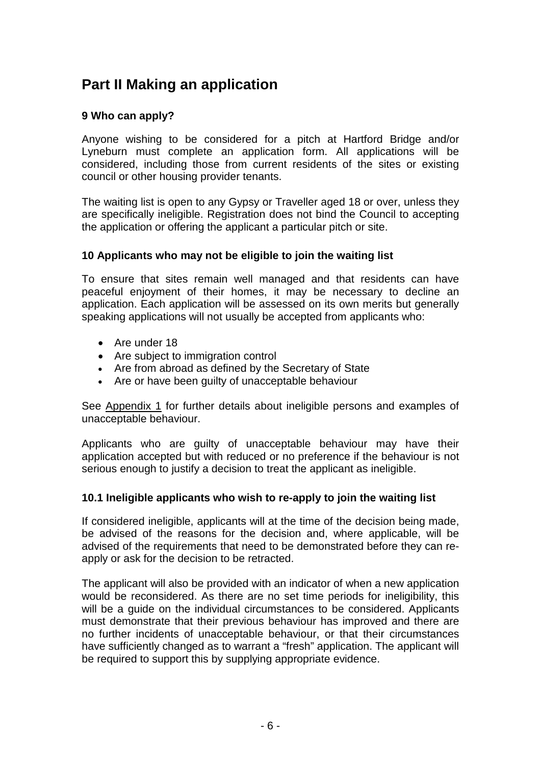# <span id="page-5-0"></span>**Part II Making an application**

# <span id="page-5-1"></span>**9 Who can apply?**

Anyone wishing to be considered for a pitch at Hartford Bridge and/or Lyneburn must complete an application form. All applications will be considered, including those from current residents of the sites or existing council or other housing provider tenants.

The waiting list is open to any Gypsy or Traveller aged 18 or over, unless they are specifically ineligible. Registration does not bind the Council to accepting the application or offering the applicant a particular pitch or site.

#### <span id="page-5-2"></span>**10 Applicants who may not be eligible to join the waiting list**

To ensure that sites remain well managed and that residents can have peaceful enjoyment of their homes, it may be necessary to decline an application. Each application will be assessed on its own merits but generally speaking applications will not usually be accepted from applicants who:

- Are under 18
- Are subject to immigration control
- Are from abroad as defined by the Secretary of State
- Are or have been guilty of unacceptable behaviour

See [Appendix 1](#page-15-1) for further details about ineligible persons and examples of unacceptable behaviour.

Applicants who are guilty of unacceptable behaviour may have their application accepted but with reduced or no preference if the behaviour is not serious enough to justify a decision to treat the applicant as ineligible.

# <span id="page-5-3"></span>**10.1 Ineligible applicants who wish to re-apply to join the waiting list**

If considered ineligible, applicants will at the time of the decision being made, be advised of the reasons for the decision and, where applicable, will be advised of the requirements that need to be demonstrated before they can reapply or ask for the decision to be retracted.

The applicant will also be provided with an indicator of when a new application would be reconsidered. As there are no set time periods for ineligibility, this will be a guide on the individual circumstances to be considered. Applicants must demonstrate that their previous behaviour has improved and there are no further incidents of unacceptable behaviour, or that their circumstances have sufficiently changed as to warrant a "fresh" application. The applicant will be required to support this by supplying appropriate evidence.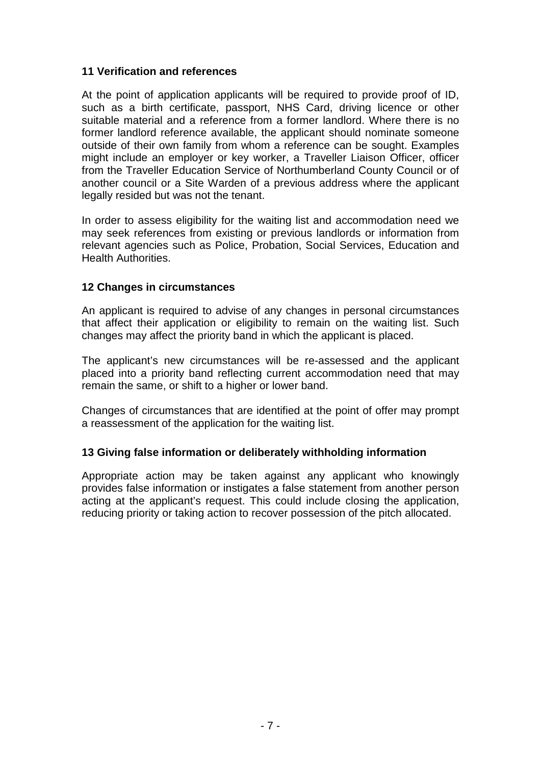## <span id="page-6-0"></span>**11 Verification and references**

At the point of application applicants will be required to provide proof of ID, such as a birth certificate, passport, NHS Card, driving licence or other suitable material and a reference from a former landlord. Where there is no former landlord reference available, the applicant should nominate someone outside of their own family from whom a reference can be sought. Examples might include an employer or key worker, a Traveller Liaison Officer, officer from the Traveller Education Service of Northumberland County Council or of another council or a Site Warden of a previous address where the applicant legally resided but was not the tenant.

In order to assess eligibility for the waiting list and accommodation need we may seek references from existing or previous landlords or information from relevant agencies such as Police, Probation, Social Services, Education and Health Authorities.

#### <span id="page-6-1"></span>**12 Changes in circumstances**

An applicant is required to advise of any changes in personal circumstances that affect their application or eligibility to remain on the waiting list. Such changes may affect the priority band in which the applicant is placed.

The applicant's new circumstances will be re-assessed and the applicant placed into a priority band reflecting current accommodation need that may remain the same, or shift to a higher or lower band.

Changes of circumstances that are identified at the point of offer may prompt a reassessment of the application for the waiting list.

#### <span id="page-6-2"></span>**13 Giving false information or deliberately withholding information**

Appropriate action may be taken against any applicant who knowingly provides false information or instigates a false statement from another person acting at the applicant's request. This could include closing the application, reducing priority or taking action to recover possession of the pitch allocated.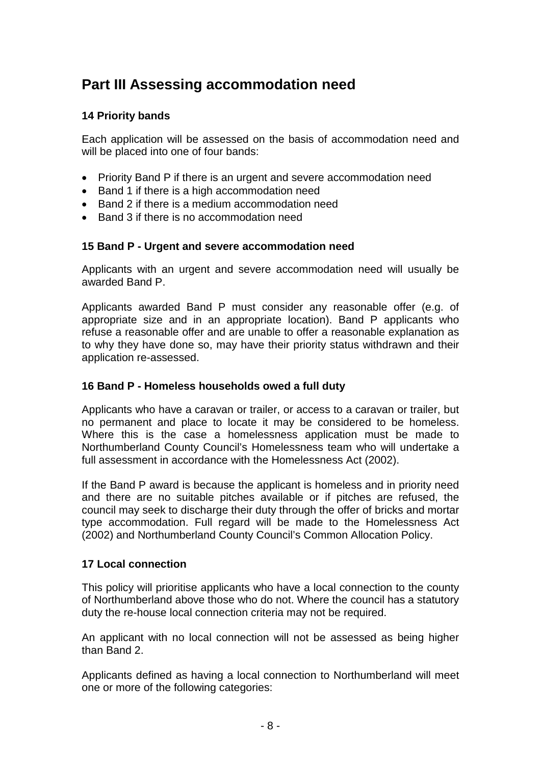# <span id="page-7-0"></span>**Part III Assessing accommodation need**

# <span id="page-7-1"></span>**14 Priority bands**

Each application will be assessed on the basis of accommodation need and will be placed into one of four bands:

- Priority Band P if there is an urgent and severe accommodation need
- Band 1 if there is a high accommodation need
- Band 2 if there is a medium accommodation need
- <span id="page-7-2"></span>• Band 3 if there is no accommodation need

#### **15 Band P - Urgent and severe accommodation need**

Applicants with an urgent and severe accommodation need will usually be awarded Band P.

Applicants awarded Band P must consider any reasonable offer (e.g. of appropriate size and in an appropriate location). Band P applicants who refuse a reasonable offer and are unable to offer a reasonable explanation as to why they have done so, may have their priority status withdrawn and their application re-assessed.

#### <span id="page-7-3"></span>**16 Band P - Homeless households owed a full duty**

Applicants who have a caravan or trailer, or access to a caravan or trailer, but no permanent and place to locate it may be considered to be homeless. Where this is the case a homelessness application must be made to Northumberland County Council's Homelessness team who will undertake a full assessment in accordance with the Homelessness Act (2002).

If the Band P award is because the applicant is homeless and in priority need and there are no suitable pitches available or if pitches are refused, the council may seek to discharge their duty through the offer of bricks and mortar type accommodation. Full regard will be made to the Homelessness Act (2002) and Northumberland County Council's Common Allocation Policy.

#### <span id="page-7-4"></span>**17 Local connection**

This policy will prioritise applicants who have a local connection to the county of Northumberland above those who do not. Where the council has a statutory duty the re-house local connection criteria may not be required.

An applicant with no local connection will not be assessed as being higher than Band 2.

Applicants defined as having a local connection to Northumberland will meet one or more of the following categories: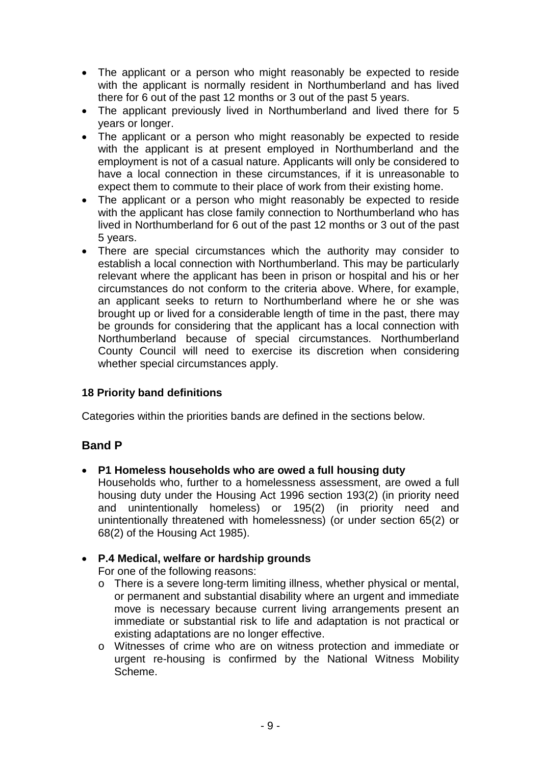- The applicant or a person who might reasonably be expected to reside with the applicant is normally resident in Northumberland and has lived there for 6 out of the past 12 months or 3 out of the past 5 years.
- The applicant previously lived in Northumberland and lived there for 5 years or longer.
- The applicant or a person who might reasonably be expected to reside with the applicant is at present employed in Northumberland and the employment is not of a casual nature. Applicants will only be considered to have a local connection in these circumstances, if it is unreasonable to expect them to commute to their place of work from their existing home.
- The applicant or a person who might reasonably be expected to reside with the applicant has close family connection to Northumberland who has lived in Northumberland for 6 out of the past 12 months or 3 out of the past 5 years.
- There are special circumstances which the authority may consider to establish a local connection with Northumberland. This may be particularly relevant where the applicant has been in prison or hospital and his or her circumstances do not conform to the criteria above. Where, for example, an applicant seeks to return to Northumberland where he or she was brought up or lived for a considerable length of time in the past, there may be grounds for considering that the applicant has a local connection with Northumberland because of special circumstances. Northumberland County Council will need to exercise its discretion when considering whether special circumstances apply.

# <span id="page-8-0"></span>**18 Priority band definitions**

Categories within the priorities bands are defined in the sections below.

# **Band P**

- **P1 Homeless households who are owed a full housing duty**
	- Households who, further to a homelessness assessment, are owed a full housing duty under the Housing Act 1996 section 193(2) (in priority need and unintentionally homeless) or 195(2) (in priority need and unintentionally threatened with homelessness) (or under section 65(2) or 68(2) of the Housing Act 1985).
- **P.4 Medical, welfare or hardship grounds**

For one of the following reasons:

- o There is a severe long-term limiting illness, whether physical or mental, or permanent and substantial disability where an urgent and immediate move is necessary because current living arrangements present an immediate or substantial risk to life and adaptation is not practical or existing adaptations are no longer effective.
- o Witnesses of crime who are on witness protection and immediate or urgent re-housing is confirmed by the National Witness Mobility Scheme.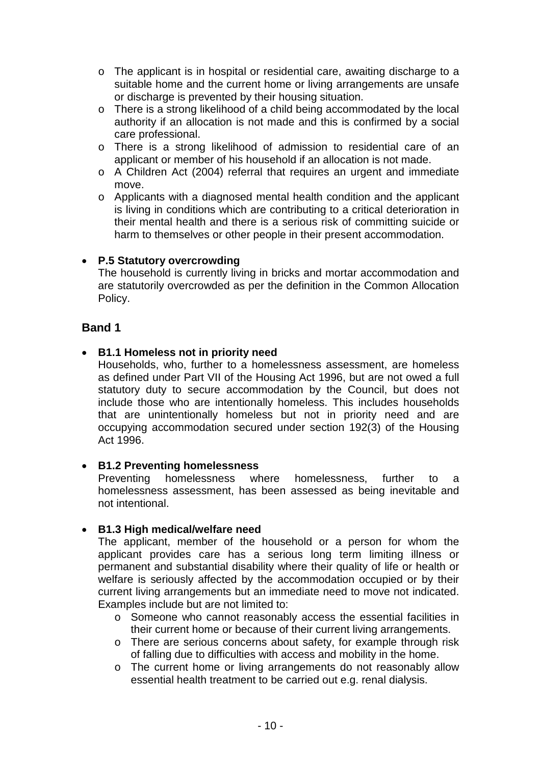- o The applicant is in hospital or residential care, awaiting discharge to a suitable home and the current home or living arrangements are unsafe or discharge is prevented by their housing situation.
- o There is a strong likelihood of a child being accommodated by the local authority if an allocation is not made and this is confirmed by a social care professional.
- o There is a strong likelihood of admission to residential care of an applicant or member of his household if an allocation is not made.
- o A Children Act (2004) referral that requires an urgent and immediate move.
- o Applicants with a diagnosed mental health condition and the applicant is living in conditions which are contributing to a critical deterioration in their mental health and there is a serious risk of committing suicide or harm to themselves or other people in their present accommodation.

# • **P.5 Statutory overcrowding**

The household is currently living in bricks and mortar accommodation and are statutorily overcrowded as per the definition in the Common Allocation Policy.

# **Band 1**

#### • **B1.1 Homeless not in priority need**

Households, who, further to a homelessness assessment, are homeless as defined under Part VII of the Housing Act 1996, but are not owed a full statutory duty to secure accommodation by the Council, but does not include those who are intentionally homeless. This includes households that are unintentionally homeless but not in priority need and are occupying accommodation secured under section 192(3) of the Housing Act 1996.

#### • **B1.2 Preventing homelessness**

Preventing homelessness where homelessness, further to a homelessness assessment, has been assessed as being inevitable and not intentional.

#### • **B1.3 High medical/welfare need**

The applicant, member of the household or a person for whom the applicant provides care has a serious long term limiting illness or permanent and substantial disability where their quality of life or health or welfare is seriously affected by the accommodation occupied or by their current living arrangements but an immediate need to move not indicated. Examples include but are not limited to:

- o Someone who cannot reasonably access the essential facilities in their current home or because of their current living arrangements.
- o There are serious concerns about safety, for example through risk of falling due to difficulties with access and mobility in the home.
- o The current home or living arrangements do not reasonably allow essential health treatment to be carried out e.g. renal dialysis.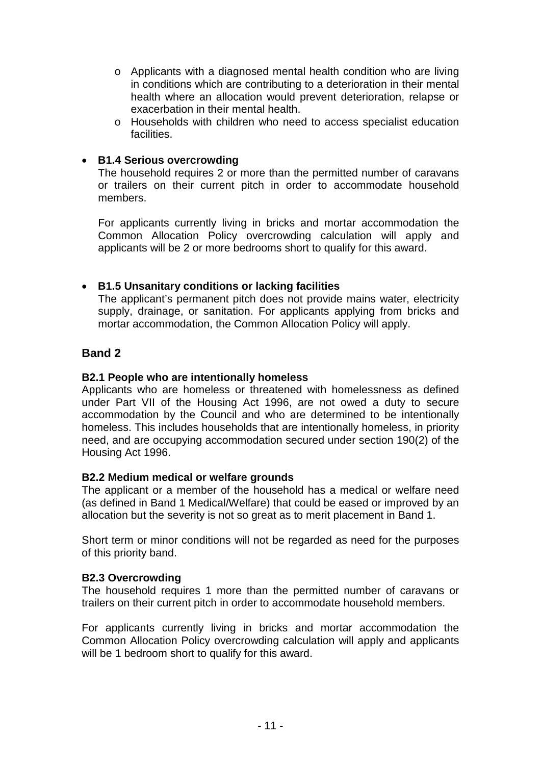- o Applicants with a diagnosed mental health condition who are living in conditions which are contributing to a deterioration in their mental health where an allocation would prevent deterioration, relapse or exacerbation in their mental health.
- o Households with children who need to access specialist education facilities.

#### • **B1.4 Serious overcrowding**

The household requires 2 or more than the permitted number of caravans or trailers on their current pitch in order to accommodate household members.

For applicants currently living in bricks and mortar accommodation the Common Allocation Policy overcrowding calculation will apply and applicants will be 2 or more bedrooms short to qualify for this award.

#### • **B1.5 Unsanitary conditions or lacking facilities**

The applicant's permanent pitch does not provide mains water, electricity supply, drainage, or sanitation. For applicants applying from bricks and mortar accommodation, the Common Allocation Policy will apply.

# **Band 2**

#### **B2.1 People who are intentionally homeless**

Applicants who are homeless or threatened with homelessness as defined under Part VII of the Housing Act 1996, are not owed a duty to secure accommodation by the Council and who are determined to be intentionally homeless. This includes households that are intentionally homeless, in priority need, and are occupying accommodation secured under section 190(2) of the Housing Act 1996.

#### **B2.2 Medium medical or welfare grounds**

The applicant or a member of the household has a medical or welfare need (as defined in Band 1 Medical/Welfare) that could be eased or improved by an allocation but the severity is not so great as to merit placement in Band 1.

Short term or minor conditions will not be regarded as need for the purposes of this priority band.

#### **B2.3 Overcrowding**

The household requires 1 more than the permitted number of caravans or trailers on their current pitch in order to accommodate household members.

For applicants currently living in bricks and mortar accommodation the Common Allocation Policy overcrowding calculation will apply and applicants will be 1 bedroom short to qualify for this award.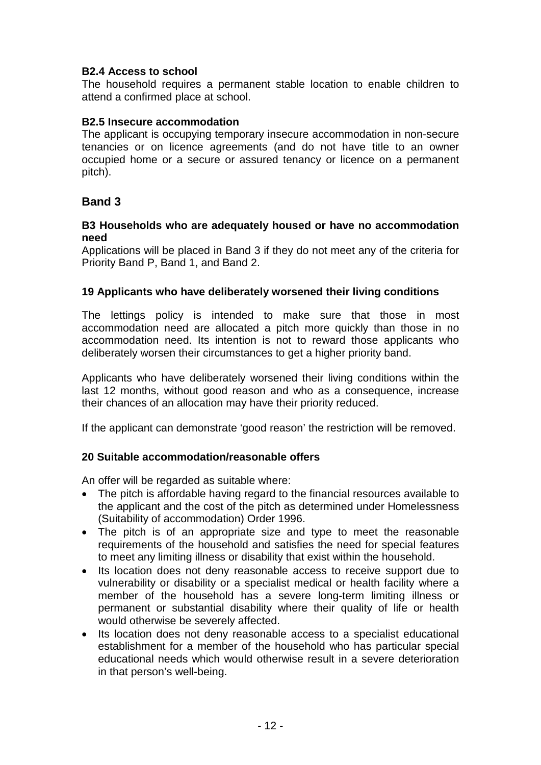## **B2.4 Access to school**

The household requires a permanent stable location to enable children to attend a confirmed place at school.

#### **B2.5 Insecure accommodation**

The applicant is occupying temporary insecure accommodation in non-secure tenancies or on licence agreements (and do not have title to an owner occupied home or a secure or assured tenancy or licence on a permanent pitch).

# **Band 3**

#### **B3 Households who are adequately housed or have no accommodation need**

Applications will be placed in Band 3 if they do not meet any of the criteria for Priority Band P, Band 1, and Band 2.

#### <span id="page-11-0"></span>**19 Applicants who have deliberately worsened their living conditions**

The lettings policy is intended to make sure that those in most accommodation need are allocated a pitch more quickly than those in no accommodation need. Its intention is not to reward those applicants who deliberately worsen their circumstances to get a higher priority band.

Applicants who have deliberately worsened their living conditions within the last 12 months, without good reason and who as a consequence, increase their chances of an allocation may have their priority reduced.

<span id="page-11-1"></span>If the applicant can demonstrate 'good reason' the restriction will be removed.

#### **20 Suitable accommodation/reasonable offers**

An offer will be regarded as suitable where:

- The pitch is affordable having regard to the financial resources available to the applicant and the cost of the pitch as determined under Homelessness (Suitability of accommodation) Order 1996.
- The pitch is of an appropriate size and type to meet the reasonable requirements of the household and satisfies the need for special features to meet any limiting illness or disability that exist within the household.
- Its location does not deny reasonable access to receive support due to vulnerability or disability or a specialist medical or health facility where a member of the household has a severe long-term limiting illness or permanent or substantial disability where their quality of life or health would otherwise be severely affected.
- Its location does not deny reasonable access to a specialist educational establishment for a member of the household who has particular special educational needs which would otherwise result in a severe deterioration in that person's well-being.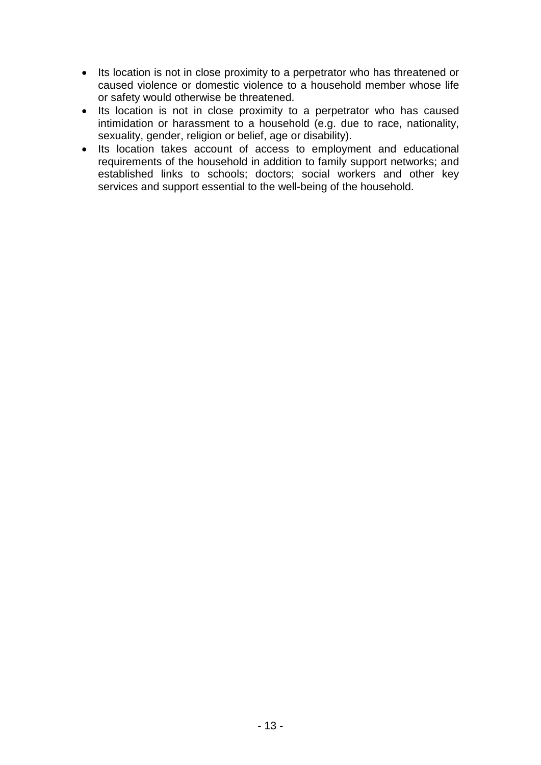- Its location is not in close proximity to a perpetrator who has threatened or caused violence or domestic violence to a household member whose life or safety would otherwise be threatened.
- Its location is not in close proximity to a perpetrator who has caused intimidation or harassment to a household (e.g. due to race, nationality, sexuality, gender, religion or belief, age or disability).
- Its location takes account of access to employment and educational requirements of the household in addition to family support networks; and established links to schools; doctors; social workers and other key services and support essential to the well-being of the household.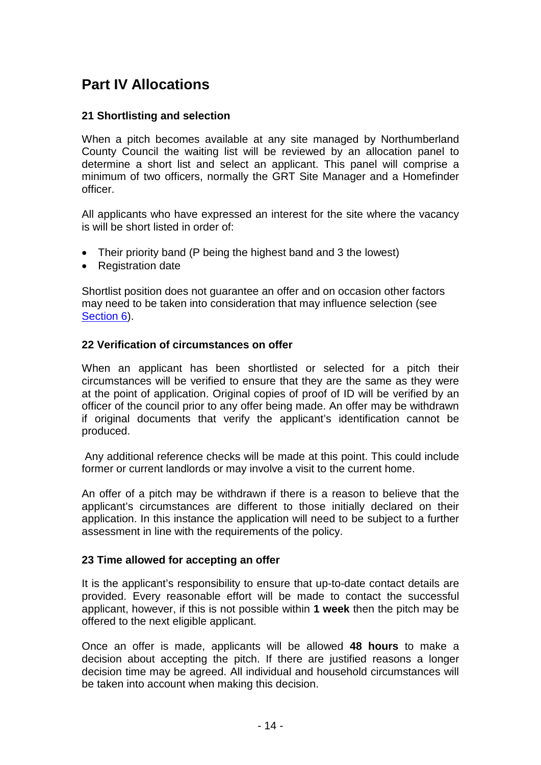# <span id="page-13-0"></span>**Part IV Allocations**

# <span id="page-13-1"></span>**21 Shortlisting and selection**

When a pitch becomes available at any site managed by Northumberland County Council the waiting list will be reviewed by an allocation panel to determine a short list and select an applicant. This panel will comprise a minimum of two officers, normally the GRT Site Manager and a Homefinder officer.

All applicants who have expressed an interest for the site where the vacancy is will be short listed in order of:

- Their priority band (P being the highest band and 3 the lowest)
- Registration date

Shortlist position does not guarantee an offer and on occasion other factors may need to be taken into consideration that may influence selection (see [Section 6\)](#page-3-2).

#### <span id="page-13-2"></span>**22 Verification of circumstances on offer**

When an applicant has been shortlisted or selected for a pitch their circumstances will be verified to ensure that they are the same as they were at the point of application. Original copies of proof of ID will be verified by an officer of the council prior to any offer being made. An offer may be withdrawn if original documents that verify the applicant's identification cannot be produced.

Any additional reference checks will be made at this point. This could include former or current landlords or may involve a visit to the current home.

An offer of a pitch may be withdrawn if there is a reason to believe that the applicant's circumstances are different to those initially declared on their application. In this instance the application will need to be subject to a further assessment in line with the requirements of the policy.

#### <span id="page-13-3"></span>**23 Time allowed for accepting an offer**

It is the applicant's responsibility to ensure that up-to-date contact details are provided. Every reasonable effort will be made to contact the successful applicant, however, if this is not possible within **1 week** then the pitch may be offered to the next eligible applicant.

Once an offer is made, applicants will be allowed **48 hours** to make a decision about accepting the pitch. If there are justified reasons a longer decision time may be agreed. All individual and household circumstances will be taken into account when making this decision.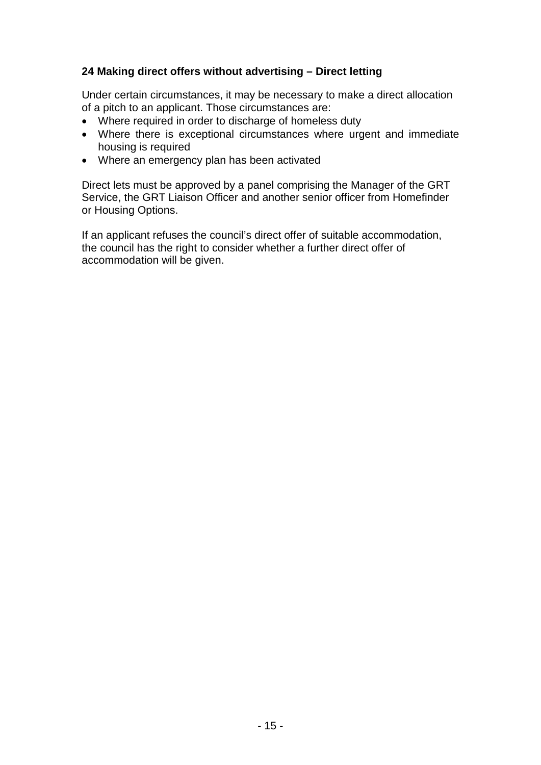# <span id="page-14-0"></span>**24 Making direct offers without advertising – Direct letting**

Under certain circumstances, it may be necessary to make a direct allocation of a pitch to an applicant. Those circumstances are:

- Where required in order to discharge of homeless duty
- Where there is exceptional circumstances where urgent and immediate housing is required
- Where an emergency plan has been activated

Direct lets must be approved by a panel comprising the Manager of the GRT Service, the GRT Liaison Officer and another senior officer from Homefinder or Housing Options.

If an applicant refuses the council's direct offer of suitable accommodation, the council has the right to consider whether a further direct offer of accommodation will be given.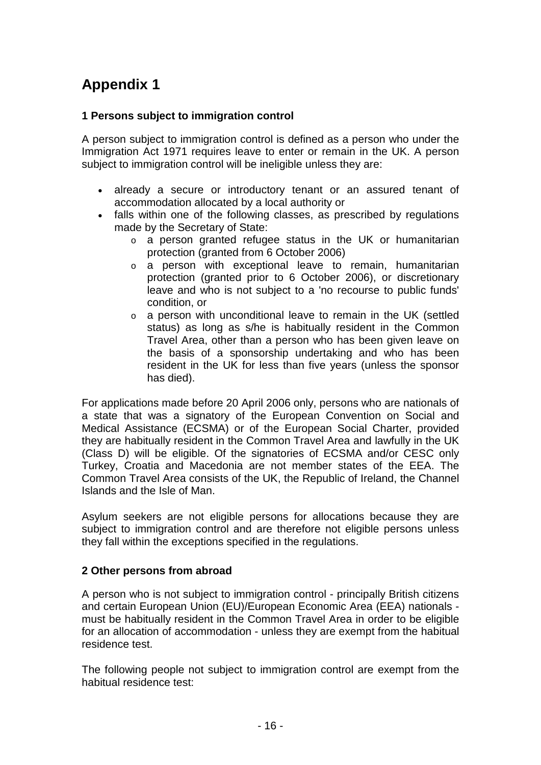# <span id="page-15-0"></span>**Appendix 1**

# <span id="page-15-1"></span>**1 Persons subject to immigration control**

A person subject to immigration control is defined as a person who under the Immigration Act 1971 requires leave to enter or remain in the UK. A person subject to immigration control will be ineligible unless they are:

- already a secure or introductory tenant or an assured tenant of accommodation allocated by a local authority or
- falls within one of the following classes, as prescribed by regulations made by the Secretary of State:
	- o a person granted refugee status in the UK or humanitarian protection (granted from 6 October 2006)
	- o a person with exceptional leave to remain, humanitarian protection (granted prior to 6 October 2006), or discretionary leave and who is not subject to a 'no recourse to public funds' condition, or
	- o a person with unconditional leave to remain in the UK (settled status) as long as s/he is habitually resident in the Common Travel Area, other than a person who has been given leave on the basis of a sponsorship undertaking and who has been resident in the UK for less than five years (unless the sponsor has died).

For applications made before 20 April 2006 only, persons who are nationals of a state that was a signatory of the European Convention on Social and Medical Assistance (ECSMA) or of the European Social Charter, provided they are habitually resident in the Common Travel Area and lawfully in the UK (Class D) will be eligible. Of the signatories of ECSMA and/or CESC only Turkey, Croatia and Macedonia are not member states of the EEA. The Common Travel Area consists of the UK, the Republic of Ireland, the Channel Islands and the Isle of Man.

Asylum seekers are not eligible persons for allocations because they are subject to immigration control and are therefore not eligible persons unless they fall within the exceptions specified in the regulations.

#### <span id="page-15-2"></span>**2 Other persons from abroad**

A person who is not subject to immigration control - principally British citizens and certain European Union (EU)/European Economic Area (EEA) nationals must be habitually resident in the Common Travel Area in order to be eligible for an allocation of accommodation - unless they are exempt from the habitual residence test.

The following people not subject to immigration control are exempt from the habitual residence test: